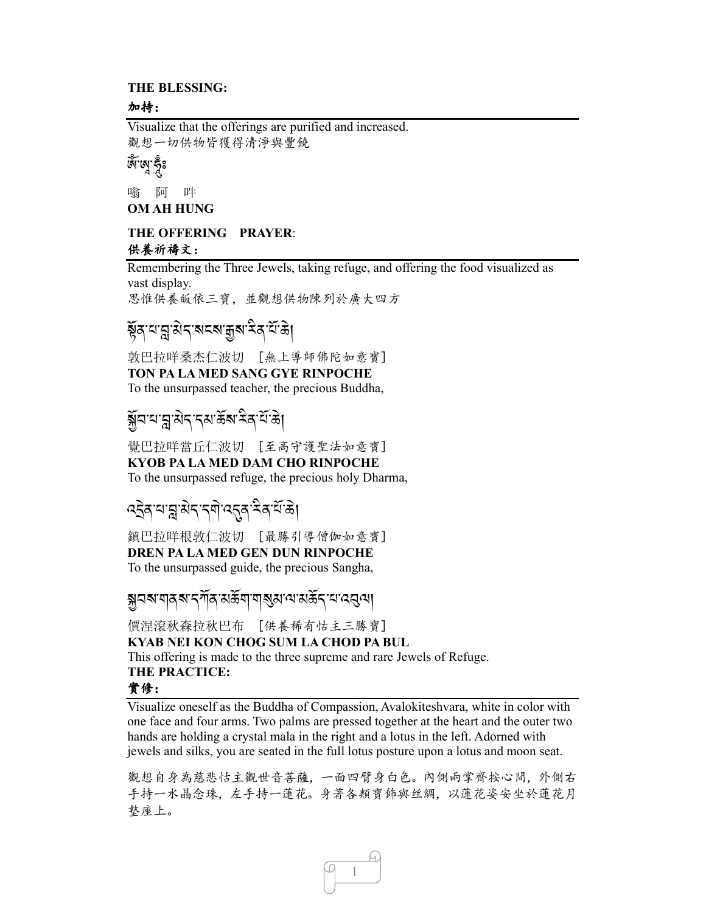#### **THE BLESSING:**

#### 加持:

Visualize that the offerings are purified and increased. 觀想一切供物皆獲得清淨與豐饒

### ৰ্জ<sup>1</sup>জু'কুঁঃ

嗡 阿 吽 **OM AH HUNG** 

### **THE OFFERING PRAYER**: 供養祈禱文:

Remembering the Three Jewels, taking refuge, and offering the food visualized as vast display.

思惟供養皈依三寶,並觀想供物陳列於廣大四方

# ৰ্ষ্ণ বান্ন ৰান্<sup>ন প্ৰ</sup>ক্ষা কৰি বিদ্ৰি।<br>ই

敦巴拉咩桑杰仁波切 [無上導師佛陀如意寶] **TON PA LA MED SANG GYE RINPOCHE**  To the unsurpassed teacher, the precious Buddha,

# \*R*2-0-] -3*J*.-.3-(*R*?-<* A*/- 0*R*-(*J,

覺巴拉咩當丘仁波切 [至高守護聖法如意寶] **KYOB PA LA MED DAM CHO RINPOCHE**  To the unsurpassed refuge, the precious holy Dharma,

### *:S*J*/-0-] -3*J*.-.\$*J*-:*.*/- <* A*/-0*R*-(*J,

鎮巴拉咩根敦仁波切 [最勝引導僧伽如意寶]

#### **DREN PA LA MED GEN DUN RINPOCHE**

To the unsurpassed guide, the precious Sangha,

### \**2? -\$ /? -.!*R*/-3(*R*\$-\$*?*3-=-3(*R*.-0-:*2*=*,

價涅滾秋森拉秋巴布 [供養稀有怙主三勝寶] **KYAB NEI KON CHOG SUM LA CHOD PA BUL**  This offering is made to the three supreme and rare Jewels of Refuge. **THE PRACTICE:**  實修:

Visualize oneself as the Buddha of Compassion, Avalokiteshvara, white in color with one face and four arms. Two palms are pressed together at the heart and the outer two hands are holding a crystal mala in the right and a lotus in the left. Adorned with jewels and silks, you are seated in the full lotus posture upon a lotus and moon seat.

觀想自身為慈悲怙主觀世音菩薩,一面四臂身白色。內側兩掌齊按心間,外側右 手持一水晶念珠,左手持一蓮花。身著各類寶飾與丝綢,以蓮花姿安坐於蓮花月 墊座上。

1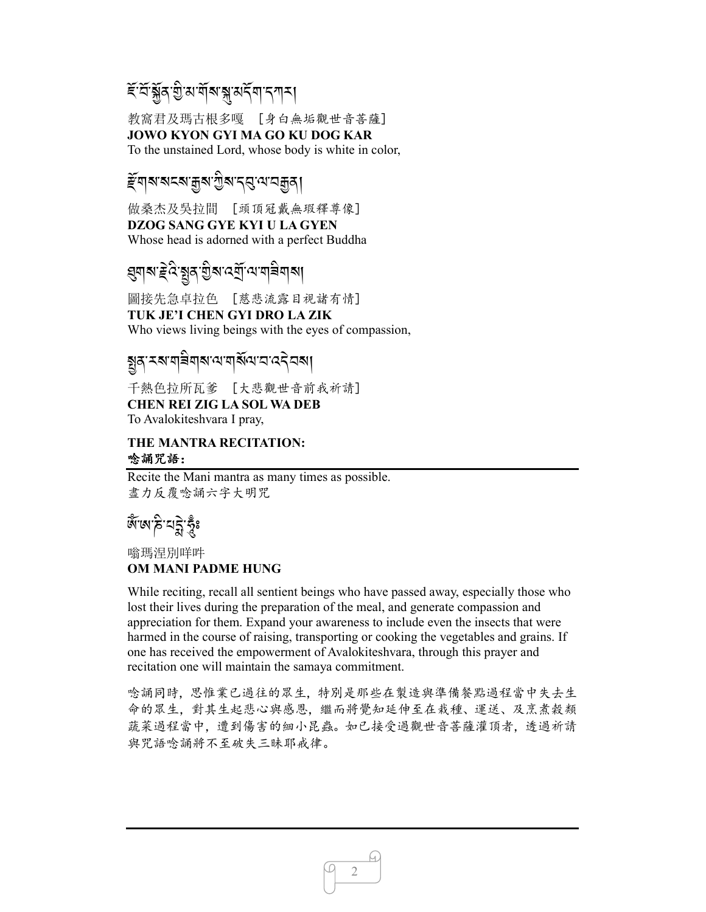# *ই* প্ৰস্তু, প্ৰায় ব্ৰাৱ্ম প্ৰদ্নী বিদ্যালয়।

教窩君及瑪古根多嘎 [身白無垢觀世音菩薩] **JOWO KYON GYI MA GO KU DOG KAR**  To the unstained Lord, whose body is white in color,

#### *দ্দ্ৰ*<br>ৰাজ্যৰ সম্পৰ্ক স্পৰ্ক স্পৰ্ক স্পৰ্ক স্পৰ্ক স্পৰ্ক স্পৰ্ক স্পৰ্ক স্পৰ্ক স্পৰ্ক স্পৰ্ক স্পৰ্ক স্পৰ্ক স্পৰ্ক .<br>.<br>.

做桑杰及吳拉間 [頭頂冠戴無瑕釋尊像] **DZOG SANG GYE KYI U LA GYEN**  Whose head is adorned with a perfect Buddha

# ধ্ৰম্**ম: ≩ৰ্বি:ম্ব্ৰুৰ্**'গ্ৰীৰ্ম বেৰ্মী:ব্যব্যৰ্শিৰ্

圖接先急卓拉色 [慈悲流露目視諸有情] **TUK JE'I CHEN GYI DRO LA ZIK** 

Who views living beings with the eyes of compassion,

# ষ্ট্ৰৰ্<sup>:</sup>মৰ্শৰীৰ্ম'ন্মৰ্শ্ম'ন'ন্ত্ৰীৰ্মা

千熱色拉所瓦爹 [大悲觀世音前我祈請] **CHEN REI ZIG LA SOL WA DEB**  To Avalokiteshvara I pray,

#### **THE MANTRA RECITATION:**  唸誦咒語:

Recite the Mani mantra as many times as possible. 盡力反覆唸誦六字大明咒

# ৰ্জ্<sup>ন</sup>জাৰী <u>প্ৰ</u>য়

嗡瑪涅別咩吽 **OM MANI PADME HUNG** 

While reciting, recall all sentient beings who have passed away, especially those who lost their lives during the preparation of the meal, and generate compassion and appreciation for them. Expand your awareness to include even the insects that were harmed in the course of raising, transporting or cooking the vegetables and grains. If one has received the empowerment of Avalokiteshvara, through this prayer and recitation one will maintain the samaya commitment.

唸誦同時,思惟業已過往的眾生,特別是那些在製造與準備餐點過程當中失去生 命的眾生,對其生起悲心與感恩,繼而將覺知延伸至在栽種、運送、及烹煮穀類 蔬菜過程當中,遭到傷害的細小昆蟲。如已接受過觀世音菩薩灌頂者,透過祈請 與咒語唸誦將不至破失三昧耶戒律。

2